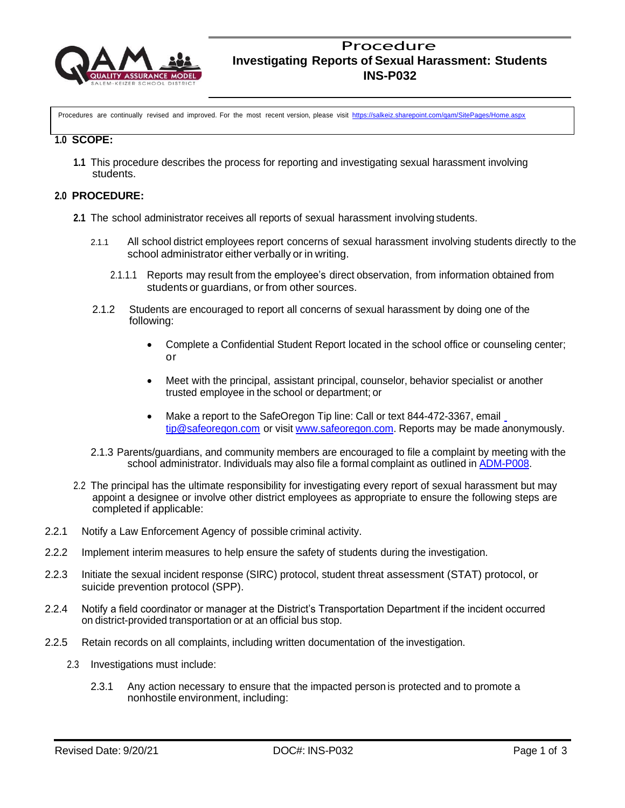

Procedures are continually revised and improved. For the most recent version, please visit <https://salkeiz.sharepoint.com/qam/SitePages/Home.aspx>

### **1.0 SCOPE:**

**1.1** This procedure describes the process for reporting and investigating sexual harassment involving students.

## **2.0 PROCEDURE:**

- **2.1** The school administrator receives all reports of sexual harassment involving students.
	- 2.1.1 All school district employees report concerns of sexual harassment involving students directly to the school administrator either verbally or in writing.
		- 2.1.1.1 Reports may result from the employee's direct observation, from information obtained from students or guardians, or from other sources.
	- 2.1.2 Students are encouraged to report all concerns of sexual harassment by doing one of the following:
		- Complete a Confidential Student Report located in the school office or counseling center; or
		- Meet with the principal, assistant principal, counselor, behavior specialist or another trusted employee in the school or department; or
		- Make a report to the SafeOregon Tip line: Call or text 844-472-3367, email [tip@safeoregon.com](mailto:tip@safeoregon.com) or visit [www.safeoregon.com.](http://www.safeoregon.com/) Reports may be made anonymously.
	- 2.1.3 Parents/guardians, and community members are encouraged to file a complaint by meeting with the school administrator. Individuals may also file a formal complaint as outlined in [ADM-P008.](https://mk0salkeizk12or7kyfk.kinstacdn.com/wp-content/uploads/2017/07/adm-p008_english.pdf)
- 2.2 The principal has the ultimate responsibility for investigating every report of sexual harassment but may appoint a designee or involve other district employees as appropriate to ensure the following steps are completed if applicable:
- 2.2.1 Notify a Law Enforcement Agency of possible criminal activity.
- 2.2.2 Implement interim measures to help ensure the safety of students during the investigation.
- 2.2.3 Initiate the sexual incident response (SIRC) protocol, student threat assessment (STAT) protocol, or suicide prevention protocol (SPP).
- 2.2.4 Notify a field coordinator or manager at the District's Transportation Department if the incident occurred on district-provided transportation or at an official bus stop.
- 2.2.5 Retain records on all complaints, including written documentation of the investigation.
	- 2.3 Investigations must include:
		- 2.3.1 Any action necessary to ensure that the impacted person is protected and to promote a nonhostile environment, including: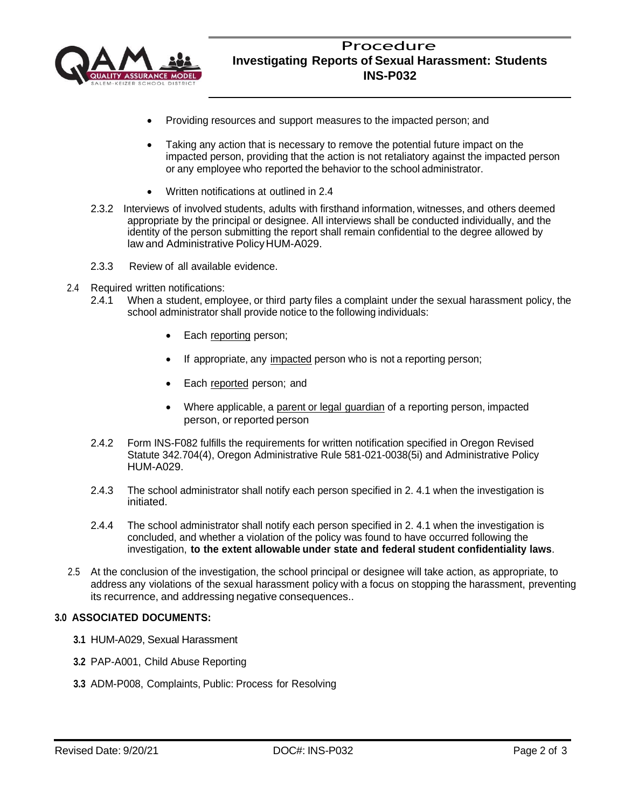

- Providing resources and support measures to the impacted person; and
- Taking any action that is necessary to remove the potential future impact on the impacted person, providing that the action is not retaliatory against the impacted person or any employee who reported the behavior to the school administrator.
- Written notifications at outlined in 2.4
- 2.3.2 Interviews of involved students, adults with firsthand information, witnesses, and others deemed appropriate by the principal or designee. All interviews shall be conducted individually, and the identity of the person submitting the report shall remain confidential to the degree allowed by law and Administrative Policy HUM-A029.
- 2.3.3 Review of all available evidence.
- 2.4 Required written notifications:
	- 2.4.1 When a student, employee, or third party files a complaint under the sexual harassment policy, the school administrator shall provide notice to the following individuals:
		- Each reporting person;
		- If appropriate, any impacted person who is not a reporting person;
		- Each reported person; and
		- Where applicable, a parent or legal guardian of a reporting person, impacted person, or reported person
	- 2.4.2 Form INS-F082 fulfills the requirements for written notification specified in Oregon Revised Statute 342.704(4), Oregon Administrative Rule 581-021-0038(5i) and Administrative Policy HUM-A029.
	- 2.4.3 The school administrator shall notify each person specified in 2. 4.1 when the investigation is initiated.
	- 2.4.4 The school administrator shall notify each person specified in 2. 4.1 when the investigation is concluded, and whether a violation of the policy was found to have occurred following the investigation, **to the extent allowable under state and federal student confidentiality laws**.
- 2.5 At the conclusion of the investigation, the school principal or designee will take action, as appropriate, to address any violations of the sexual harassment policy with a focus on stopping the harassment, preventing its recurrence, and addressing negative consequences..

# **3.0 ASSOCIATED DOCUMENTS:**

- **3.1** HUM-A029, Sexual Harassment
- **3.2** PAP-A001, Child Abuse Reporting
- **3.3** ADM-P008, Complaints, Public: Process for Resolving